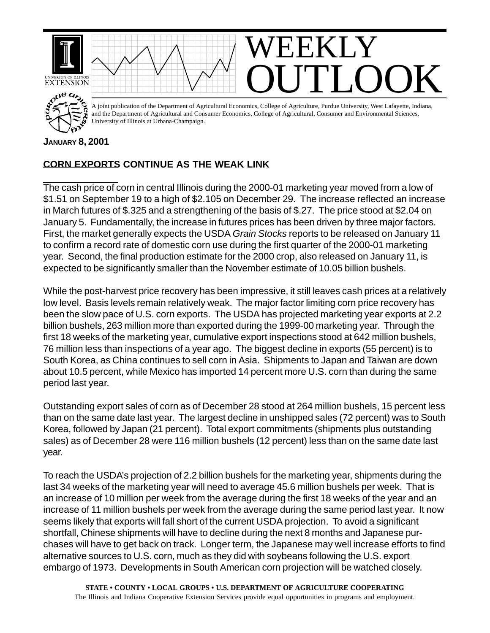

## **JANUARY 8, 2001**

## **CORN EXPORTS CONTINUE AS THE WEAK LINK**

The cash price of corn in central Illinois during the 2000-01 marketing year moved from a low of \$1.51 on September 19 to a high of \$2.105 on December 29. The increase reflected an increase in March futures of \$.325 and a strengthening of the basis of \$.27. The price stood at \$2.04 on January 5. Fundamentally, the increase in futures prices has been driven by three major factors. First, the market generally expects the USDA *Grain Stocks* reports to be released on January 11 to confirm a record rate of domestic corn use during the first quarter of the 2000-01 marketing year. Second, the final production estimate for the 2000 crop, also released on January 11, is expected to be significantly smaller than the November estimate of 10.05 billion bushels.

While the post-harvest price recovery has been impressive, it still leaves cash prices at a relatively low level. Basis levels remain relatively weak. The major factor limiting corn price recovery has been the slow pace of U.S. corn exports. The USDA has projected marketing year exports at 2.2 billion bushels, 263 million more than exported during the 1999-00 marketing year. Through the first 18 weeks of the marketing year, cumulative export inspections stood at 642 million bushels, 76 million less than inspections of a year ago. The biggest decline in exports (55 percent) is to South Korea, as China continues to sell corn in Asia. Shipments to Japan and Taiwan are down about 10.5 percent, while Mexico has imported 14 percent more U.S. corn than during the same period last year.

Outstanding export sales of corn as of December 28 stood at 264 million bushels, 15 percent less than on the same date last year. The largest decline in unshipped sales (72 percent) was to South Korea, followed by Japan (21 percent). Total export commitments (shipments plus outstanding sales) as of December 28 were 116 million bushels (12 percent) less than on the same date last year.

To reach the USDA's projection of 2.2 billion bushels for the marketing year, shipments during the last 34 weeks of the marketing year will need to average 45.6 million bushels per week. That is an increase of 10 million per week from the average during the first 18 weeks of the year and an increase of 11 million bushels per week from the average during the same period last year. It now seems likely that exports will fall short of the current USDA projection. To avoid a significant shortfall, Chinese shipments will have to decline during the next 8 months and Japanese purchases will have to get back on track. Longer term, the Japanese may well increase efforts to find alternative sources to U.S. corn, much as they did with soybeans following the U.S. export embargo of 1973. Developments in South American corn projection will be watched closely.